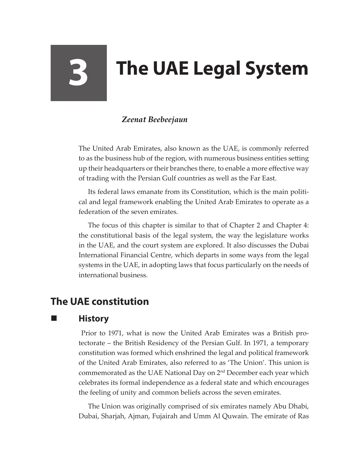# **3 The UAE Legal System**

#### *Zeenat Beebeejaun*

The United Arab Emirates, also known as the UAE, is commonly referred to as the business hub of the region, with numerous business entities setting up their headquarters or their branches there, to enable a more effective way of trading with the Persian Gulf countries as well as the Far East.

Its federal laws emanate from its Constitution, which is the main political and legal framework enabling the United Arab Emirates to operate as a federation of the seven emirates.

The focus of this chapter is similar to that of Chapter 2 and Chapter 4: the constitutional basis of the legal system, the way the legislature works in the UAE, and the court system are explored. It also discusses the Dubai International Financial Centre, which departs in some ways from the legal systems in the UAE, in adopting laws that focus particularly on the needs of international business.

## **The UAE constitution**

#### **History**

Prior to 1971, what is now the United Arab Emirates was a British protectorate – the British Residency of the Persian Gulf. In 1971, a temporary constitution was formed which enshrined the legal and political framework of the United Arab Emirates, also referred to as 'The Union'. This union is commemorated as the UAE National Day on  $2<sup>nd</sup>$  December each year which celebrates its formal independence as a federal state and which encourages the feeling of unity and common beliefs across the seven emirates.

The Union was originally comprised of six emirates namely Abu Dhabi, Dubai, Sharjah, Ajman, Fujairah and Umm Al Quwain. The emirate of Ras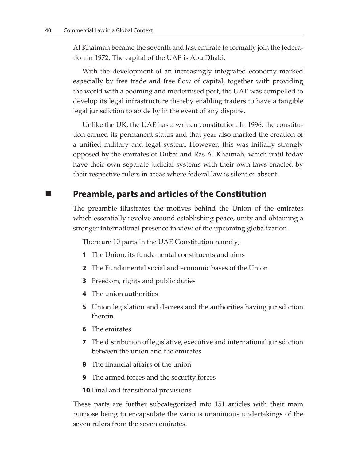Al Khaimah became the seventh and last emirate to formally join the federation in 1972. The capital of the UAE is Abu Dhabi.

With the development of an increasingly integrated economy marked especially by free trade and free flow of capital, together with providing the world with a booming and modernised port, the UAE was compelled to develop its legal infrastructure thereby enabling traders to have a tangible legal jurisdiction to abide by in the event of any dispute.

Unlike the UK, the UAE has a written constitution. In 1996, the constitution earned its permanent status and that year also marked the creation of a unified military and legal system. However, this was initially strongly opposed by the emirates of Dubai and Ras Al Khaimah, which until today have their own separate judicial systems with their own laws enacted by their respective rulers in areas where federal law is silent or absent.

#### **Preamble, parts and articles of the Constitution**

The preamble illustrates the motives behind the Union of the emirates which essentially revolve around establishing peace, unity and obtaining a stronger international presence in view of the upcoming globalization.

There are 10 parts in the UAE Constitution namely;

- **1** The Union, its fundamental constituents and aims
- **2** The Fundamental social and economic bases of the Union
- **3** Freedom, rights and public duties
- **4** The union authorities
- **5** Union legislation and decrees and the authorities having jurisdiction therein
- **6** The emirates
- **7** The distribution of legislative, executive and international jurisdiction between the union and the emirates
- **8** The financial affairs of the union
- **9** The armed forces and the security forces

**10** Final and transitional provisions

These parts are further subcategorized into 151 articles with their main purpose being to encapsulate the various unanimous undertakings of the seven rulers from the seven emirates.